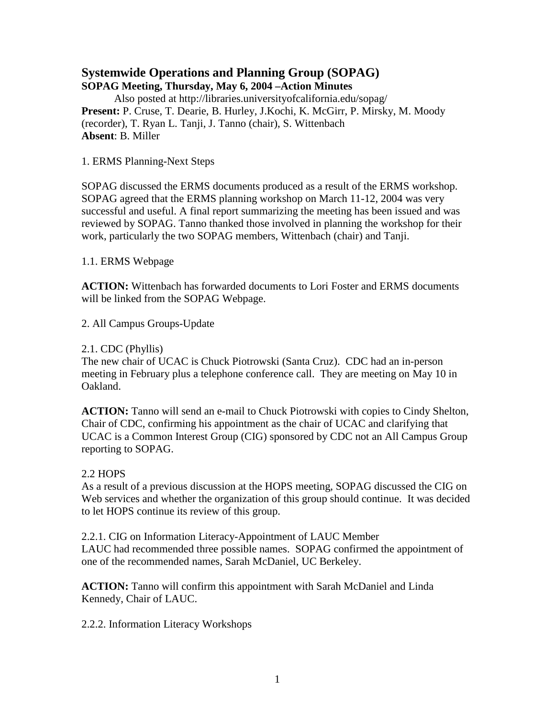# **Systemwide Operations and Planning Group (SOPAG)**

**SOPAG Meeting, Thursday, May 6, 2004 –Action Minutes** Also posted at http://libraries.universityofcalifornia.edu/sopag/ **Present:** P. Cruse, T. Dearie, B. Hurley, J.Kochi, K. McGirr, P. Mirsky, M. Moody (recorder), T. Ryan L. Tanji, J. Tanno (chair), S. Wittenbach **Absent**: B. Miller

1. ERMS Planning-Next Steps

SOPAG discussed the ERMS documents produced as a result of the ERMS workshop. SOPAG agreed that the ERMS planning workshop on March 11-12, 2004 was very successful and useful. A final report summarizing the meeting has been issued and was reviewed by SOPAG. Tanno thanked those involved in planning the workshop for their work, particularly the two SOPAG members, Wittenbach (chair) and Tanji.

1.1. ERMS Webpage

**ACTION:** Wittenbach has forwarded documents to Lori Foster and ERMS documents will be linked from the SOPAG Webpage.

2. All Campus Groups-Update

### 2.1. CDC (Phyllis)

The new chair of UCAC is Chuck Piotrowski (Santa Cruz). CDC had an in-person meeting in February plus a telephone conference call. They are meeting on May 10 in Oakland.

**ACTION:** Tanno will send an e-mail to Chuck Piotrowski with copies to Cindy Shelton, Chair of CDC, confirming his appointment as the chair of UCAC and clarifying that UCAC is a Common Interest Group (CIG) sponsored by CDC not an All Campus Group reporting to SOPAG.

# 2.2 HOPS

As a result of a previous discussion at the HOPS meeting, SOPAG discussed the CIG on Web services and whether the organization of this group should continue. It was decided to let HOPS continue its review of this group.

2.2.1. CIG on Information Literacy-Appointment of LAUC Member LAUC had recommended three possible names. SOPAG confirmed the appointment of one of the recommended names, Sarah McDaniel, UC Berkeley.

**ACTION:** Tanno will confirm this appointment with Sarah McDaniel and Linda Kennedy, Chair of LAUC.

2.2.2. Information Literacy Workshops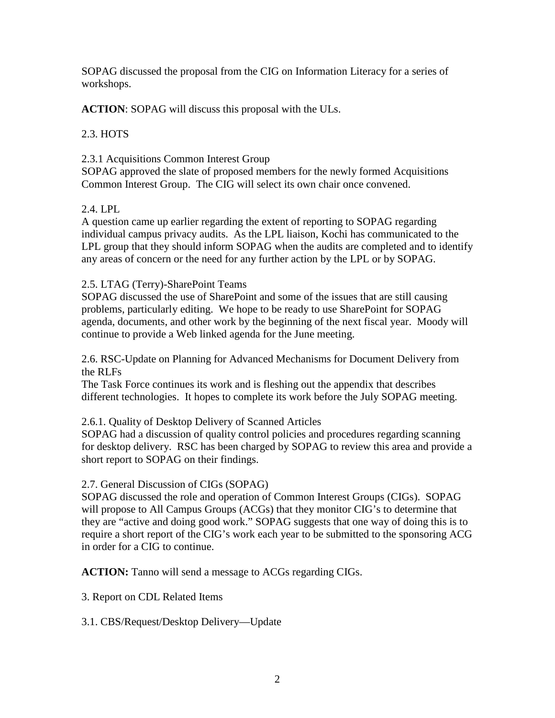SOPAG discussed the proposal from the CIG on Information Literacy for a series of workshops.

**ACTION**: SOPAG will discuss this proposal with the ULs.

# 2.3. HOTS

# 2.3.1 Acquisitions Common Interest Group

SOPAG approved the slate of proposed members for the newly formed Acquisitions Common Interest Group. The CIG will select its own chair once convened.

# 2.4. LPL

A question came up earlier regarding the extent of reporting to SOPAG regarding individual campus privacy audits. As the LPL liaison, Kochi has communicated to the LPL group that they should inform SOPAG when the audits are completed and to identify any areas of concern or the need for any further action by the LPL or by SOPAG.

# 2.5. LTAG (Terry)-SharePoint Teams

SOPAG discussed the use of SharePoint and some of the issues that are still causing problems, particularly editing. We hope to be ready to use SharePoint for SOPAG agenda, documents, and other work by the beginning of the next fiscal year. Moody will continue to provide a Web linked agenda for the June meeting.

2.6. RSC-Update on Planning for Advanced Mechanisms for Document Delivery from the RLFs

The Task Force continues its work and is fleshing out the appendix that describes different technologies. It hopes to complete its work before the July SOPAG meeting.

# 2.6.1. Quality of Desktop Delivery of Scanned Articles

SOPAG had a discussion of quality control policies and procedures regarding scanning for desktop delivery. RSC has been charged by SOPAG to review this area and provide a short report to SOPAG on their findings.

# 2.7. General Discussion of CIGs (SOPAG)

SOPAG discussed the role and operation of Common Interest Groups (CIGs). SOPAG will propose to All Campus Groups (ACGs) that they monitor CIG's to determine that they are "active and doing good work." SOPAG suggests that one way of doing this is to require a short report of the CIG's work each year to be submitted to the sponsoring ACG in order for a CIG to continue.

**ACTION:** Tanno will send a message to ACGs regarding CIGs.

3. Report on CDL Related Items

3.1. CBS/Request/Desktop Delivery—Update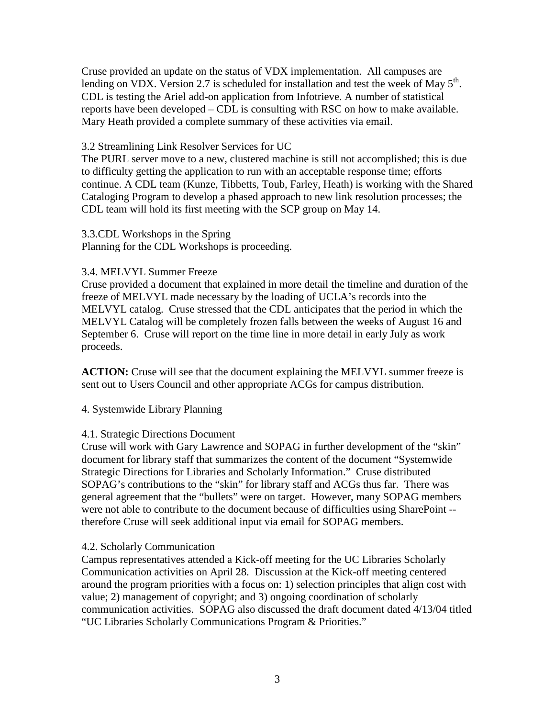Cruse provided an update on the status of VDX implementation. All campuses are lending on VDX. Version 2.7 is scheduled for installation and test the week of May  $5<sup>th</sup>$ . CDL is testing the Ariel add-on application from Infotrieve. A number of statistical reports have been developed – CDL is consulting with RSC on how to make available. Mary Heath provided a complete summary of these activities via email.

#### 3.2 Streamlining Link Resolver Services for UC

The PURL server move to a new, clustered machine is still not accomplished; this is due to difficulty getting the application to run with an acceptable response time; efforts continue. A CDL team (Kunze, Tibbetts, Toub, Farley, Heath) is working with the Shared Cataloging Program to develop a phased approach to new link resolution processes; the CDL team will hold its first meeting with the SCP group on May 14.

3.3.CDL Workshops in the Spring Planning for the CDL Workshops is proceeding.

#### 3.4. MELVYL Summer Freeze

Cruse provided a document that explained in more detail the timeline and duration of the freeze of MELVYL made necessary by the loading of UCLA's records into the MELVYL catalog. Cruse stressed that the CDL anticipates that the period in which the MELVYL Catalog will be completely frozen falls between the weeks of August 16 and September 6. Cruse will report on the time line in more detail in early July as work proceeds.

**ACTION:** Cruse will see that the document explaining the MELVYL summer freeze is sent out to Users Council and other appropriate ACGs for campus distribution.

#### 4. Systemwide Library Planning

#### 4.1. Strategic Directions Document

Cruse will work with Gary Lawrence and SOPAG in further development of the "skin" document for library staff that summarizes the content of the document "Systemwide Strategic Directions for Libraries and Scholarly Information." Cruse distributed SOPAG's contributions to the "skin" for library staff and ACGs thus far. There was general agreement that the "bullets" were on target. However, many SOPAG members were not able to contribute to the document because of difficulties using SharePoint - therefore Cruse will seek additional input via email for SOPAG members.

#### 4.2. Scholarly Communication

Campus representatives attended a Kick-off meeting for the UC Libraries Scholarly Communication activities on April 28. Discussion at the Kick-off meeting centered around the program priorities with a focus on: 1) selection principles that align cost with value; 2) management of copyright; and 3) ongoing coordination of scholarly communication activities. SOPAG also discussed the draft document dated 4/13/04 titled "UC Libraries Scholarly Communications Program & Priorities."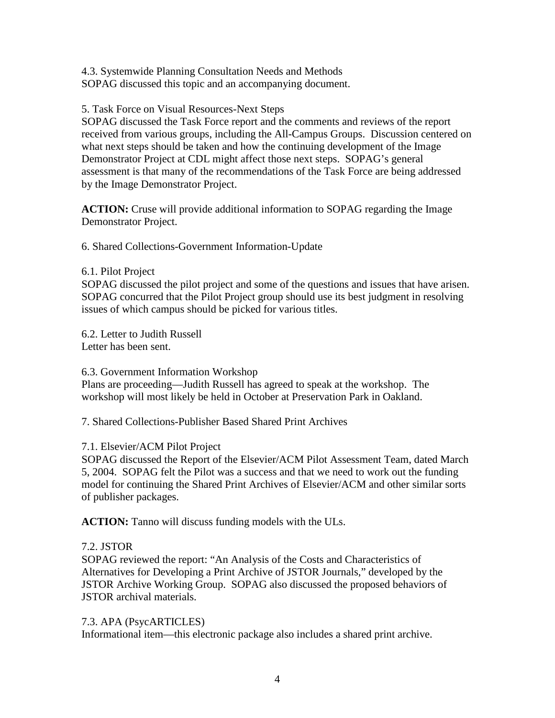4.3. Systemwide Planning Consultation Needs and Methods SOPAG discussed this topic and an accompanying document.

### 5. Task Force on Visual Resources-Next Steps

SOPAG discussed the Task Force report and the comments and reviews of the report received from various groups, including the All-Campus Groups. Discussion centered on what next steps should be taken and how the continuing development of the Image Demonstrator Project at CDL might affect those next steps. SOPAG's general assessment is that many of the recommendations of the Task Force are being addressed by the Image Demonstrator Project.

**ACTION:** Cruse will provide additional information to SOPAG regarding the Image Demonstrator Project.

6. Shared Collections-Government Information-Update

6.1. Pilot Project

SOPAG discussed the pilot project and some of the questions and issues that have arisen. SOPAG concurred that the Pilot Project group should use its best judgment in resolving issues of which campus should be picked for various titles.

6.2. Letter to Judith Russell Letter has been sent.

6.3. Government Information Workshop

Plans are proceeding—Judith Russell has agreed to speak at the workshop. The workshop will most likely be held in October at Preservation Park in Oakland.

7. Shared Collections-Publisher Based Shared Print Archives

# 7.1. Elsevier/ACM Pilot Project

SOPAG discussed the Report of the Elsevier/ACM Pilot Assessment Team, dated March 5, 2004. SOPAG felt the Pilot was a success and that we need to work out the funding model for continuing the Shared Print Archives of Elsevier/ACM and other similar sorts of publisher packages.

**ACTION:** Tanno will discuss funding models with the ULs.

# 7.2. JSTOR

SOPAG reviewed the report: "An Analysis of the Costs and Characteristics of Alternatives for Developing a Print Archive of JSTOR Journals," developed by the JSTOR Archive Working Group. SOPAG also discussed the proposed behaviors of JSTOR archival materials.

# 7.3. APA (PsycARTICLES)

Informational item—this electronic package also includes a shared print archive.